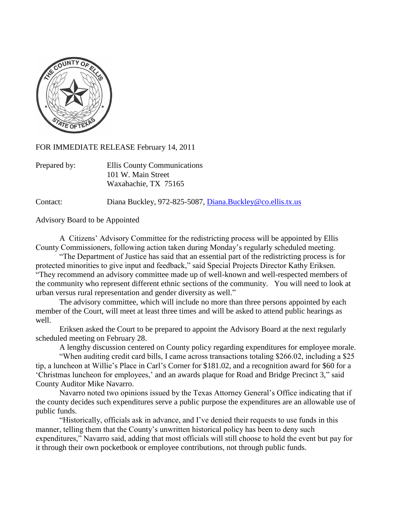

FOR IMMEDIATE RELEASE February 14, 2011

| Prepared by: | Ellis County Communications |
|--------------|-----------------------------|
|              | 101 W. Main Street          |
|              | Waxahachie, TX 75165        |

Contact: Diana Buckley, 972-825-5087, [Diana.Buckley@co.ellis.tx.us](mailto:Diana.Buckley@co.ellis.tx.us)

Advisory Board to be Appointed

A Citizens" Advisory Committee for the redistricting process will be appointed by Ellis County Commissioners, following action taken during Monday"s regularly scheduled meeting.

"The Department of Justice has said that an essential part of the redistricting process is for protected minorities to give input and feedback," said Special Projects Director Kathy Eriksen. "They recommend an advisory committee made up of well-known and well-respected members of the community who represent different ethnic sections of the community. You will need to look at urban versus rural representation and gender diversity as well."

The advisory committee, which will include no more than three persons appointed by each member of the Court, will meet at least three times and will be asked to attend public hearings as well.

Eriksen asked the Court to be prepared to appoint the Advisory Board at the next regularly scheduled meeting on February 28.

A lengthy discussion centered on County policy regarding expenditures for employee morale.

"When auditing credit card bills, I came across transactions totaling \$266.02, including a \$25 tip, a luncheon at Willie's Place in Carl's Corner for \$181.02, and a recognition award for \$60 for a "Christmas luncheon for employees," and an awards plaque for Road and Bridge Precinct 3," said County Auditor Mike Navarro.

Navarro noted two opinions issued by the Texas Attorney General"s Office indicating that if the county decides such expenditures serve a public purpose the expenditures are an allowable use of public funds.

"Historically, officials ask in advance, and I"ve denied their requests to use funds in this manner, telling them that the County's unwritten historical policy has been to deny such expenditures," Navarro said, adding that most officials will still choose to hold the event but pay for it through their own pocketbook or employee contributions, not through public funds.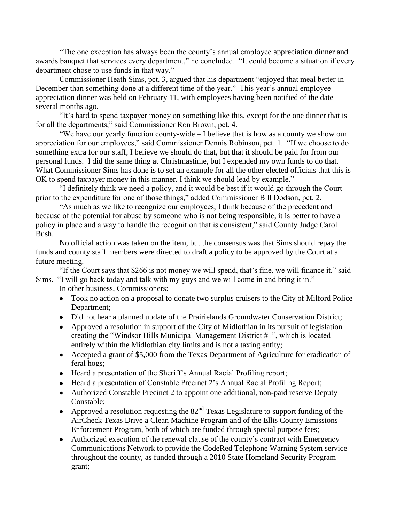"The one exception has always been the county"s annual employee appreciation dinner and awards banquet that services every department," he concluded. "It could become a situation if every department chose to use funds in that way."

Commissioner Heath Sims, pct. 3, argued that his department "enjoyed that meal better in December than something done at a different time of the year." This year's annual employee appreciation dinner was held on February 11, with employees having been notified of the date several months ago.

"It"s hard to spend taxpayer money on something like this, except for the one dinner that is for all the departments," said Commissioner Ron Brown, pct. 4.

"We have our yearly function county-wide – I believe that is how as a county we show our appreciation for our employees," said Commissioner Dennis Robinson, pct. 1. "If we choose to do something extra for our staff, I believe we should do that, but that it should be paid for from our personal funds. I did the same thing at Christmastime, but I expended my own funds to do that. What Commissioner Sims has done is to set an example for all the other elected officials that this is OK to spend taxpayer money in this manner. I think we should lead by example."

"I definitely think we need a policy, and it would be best if it would go through the Court prior to the expenditure for one of those things," added Commissioner Bill Dodson, pct. 2.

"As much as we like to recognize our employees, I think because of the precedent and because of the potential for abuse by someone who is not being responsible, it is better to have a policy in place and a way to handle the recognition that is consistent," said County Judge Carol Bush.

No official action was taken on the item, but the consensus was that Sims should repay the funds and county staff members were directed to draft a policy to be approved by the Court at a future meeting.

"If the Court says that \$266 is not money we will spend, that's fine, we will finance it," said Sims. "I will go back today and talk with my guys and we will come in and bring it in."

In other business, Commissioners:

- Took no action on a proposal to donate two surplus cruisers to the City of Milford Police Department;
- Did not hear a planned update of the Prairielands Groundwater Conservation District;
- Approved a resolution in support of the City of Midlothian in its pursuit of legislation creating the "Windsor Hills Municipal Management District #1", which is located entirely within the Midlothian city limits and is not a taxing entity;
- Accepted a grant of \$5,000 from the Texas Department of Agriculture for eradication of feral hogs;
- Heard a presentation of the Sheriff"s Annual Racial Profiling report;
- Heard a presentation of Constable Precinct 2"s Annual Racial Profiling Report;
- Authorized Constable Precinct 2 to appoint one additional, non-paid reserve Deputy Constable;
- Approved a resolution requesting the  $82<sup>nd</sup>$  Texas Legislature to support funding of the AirCheck Texas Drive a Clean Machine Program and of the Ellis County Emissions Enforcement Program, both of which are funded through special purpose fees;
- Authorized execution of the renewal clause of the county"s contract with Emergency Communications Network to provide the CodeRed Telephone Warning System service throughout the county, as funded through a 2010 State Homeland Security Program grant;